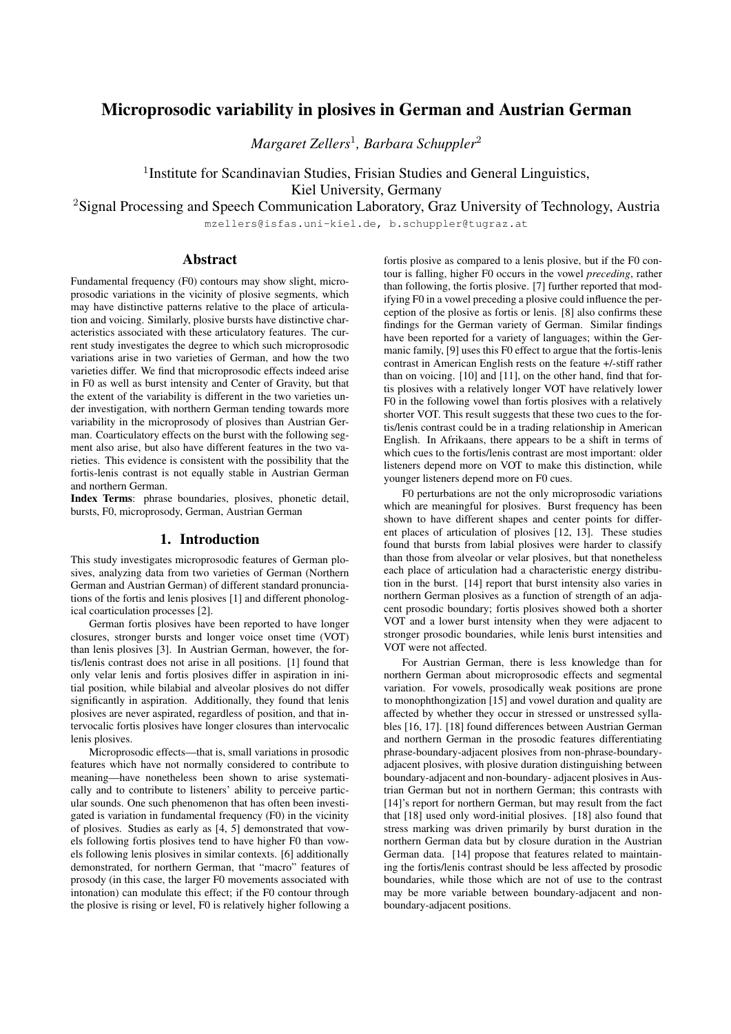# Microprosodic variability in plosives in German and Austrian German

*Margaret Zellers*<sup>1</sup> *, Barbara Schuppler*<sup>2</sup>

<sup>1</sup>Institute for Scandinavian Studies, Frisian Studies and General Linguistics, Kiel University, Germany

<sup>2</sup>Signal Processing and Speech Communication Laboratory, Graz University of Technology, Austria

mzellers@isfas.uni-kiel.de, b.schuppler@tugraz.at

# Abstract

Fundamental frequency (F0) contours may show slight, microprosodic variations in the vicinity of plosive segments, which may have distinctive patterns relative to the place of articulation and voicing. Similarly, plosive bursts have distinctive characteristics associated with these articulatory features. The current study investigates the degree to which such microprosodic variations arise in two varieties of German, and how the two varieties differ. We find that microprosodic effects indeed arise in F0 as well as burst intensity and Center of Gravity, but that the extent of the variability is different in the two varieties under investigation, with northern German tending towards more variability in the microprosody of plosives than Austrian German. Coarticulatory effects on the burst with the following segment also arise, but also have different features in the two varieties. This evidence is consistent with the possibility that the fortis-lenis contrast is not equally stable in Austrian German and northern German.

Index Terms: phrase boundaries, plosives, phonetic detail, bursts, F0, microprosody, German, Austrian German

## 1. Introduction

This study investigates microprosodic features of German plosives, analyzing data from two varieties of German (Northern German and Austrian German) of different standard pronunciations of the fortis and lenis plosives [1] and different phonological coarticulation processes [2].

German fortis plosives have been reported to have longer closures, stronger bursts and longer voice onset time (VOT) than lenis plosives [3]. In Austrian German, however, the fortis/lenis contrast does not arise in all positions. [1] found that only velar lenis and fortis plosives differ in aspiration in initial position, while bilabial and alveolar plosives do not differ significantly in aspiration. Additionally, they found that lenis plosives are never aspirated, regardless of position, and that intervocalic fortis plosives have longer closures than intervocalic lenis plosives.

Microprosodic effects—that is, small variations in prosodic features which have not normally considered to contribute to meaning—have nonetheless been shown to arise systematically and to contribute to listeners' ability to perceive particular sounds. One such phenomenon that has often been investigated is variation in fundamental frequency (F0) in the vicinity of plosives. Studies as early as [4, 5] demonstrated that vowels following fortis plosives tend to have higher F0 than vowels following lenis plosives in similar contexts. [6] additionally demonstrated, for northern German, that "macro" features of prosody (in this case, the larger F0 movements associated with intonation) can modulate this effect; if the F0 contour through the plosive is rising or level, F0 is relatively higher following a

fortis plosive as compared to a lenis plosive, but if the F0 contour is falling, higher F0 occurs in the vowel *preceding*, rather than following, the fortis plosive. [7] further reported that modifying F0 in a vowel preceding a plosive could influence the perception of the plosive as fortis or lenis. [8] also confirms these findings for the German variety of German. Similar findings have been reported for a variety of languages; within the Germanic family, [9] uses this F0 effect to argue that the fortis-lenis contrast in American English rests on the feature +/-stiff rather than on voicing. [10] and [11], on the other hand, find that fortis plosives with a relatively longer VOT have relatively lower F0 in the following vowel than fortis plosives with a relatively shorter VOT. This result suggests that these two cues to the fortis/lenis contrast could be in a trading relationship in American English. In Afrikaans, there appears to be a shift in terms of which cues to the fortis/lenis contrast are most important: older listeners depend more on VOT to make this distinction, while younger listeners depend more on F0 cues.

F0 perturbations are not the only microprosodic variations which are meaningful for plosives. Burst frequency has been shown to have different shapes and center points for different places of articulation of plosives [12, 13]. These studies found that bursts from labial plosives were harder to classify than those from alveolar or velar plosives, but that nonetheless each place of articulation had a characteristic energy distribution in the burst. [14] report that burst intensity also varies in northern German plosives as a function of strength of an adjacent prosodic boundary; fortis plosives showed both a shorter VOT and a lower burst intensity when they were adjacent to stronger prosodic boundaries, while lenis burst intensities and VOT were not affected.

For Austrian German, there is less knowledge than for northern German about microprosodic effects and segmental variation. For vowels, prosodically weak positions are prone to monophthongization [15] and vowel duration and quality are affected by whether they occur in stressed or unstressed syllables [16, 17]. [18] found differences between Austrian German and northern German in the prosodic features differentiating phrase-boundary-adjacent plosives from non-phrase-boundaryadjacent plosives, with plosive duration distinguishing between boundary-adjacent and non-boundary- adjacent plosives in Austrian German but not in northern German; this contrasts with [14]'s report for northern German, but may result from the fact that [18] used only word-initial plosives. [18] also found that stress marking was driven primarily by burst duration in the northern German data but by closure duration in the Austrian German data. [14] propose that features related to maintaining the fortis/lenis contrast should be less affected by prosodic boundaries, while those which are not of use to the contrast may be more variable between boundary-adjacent and nonboundary-adjacent positions.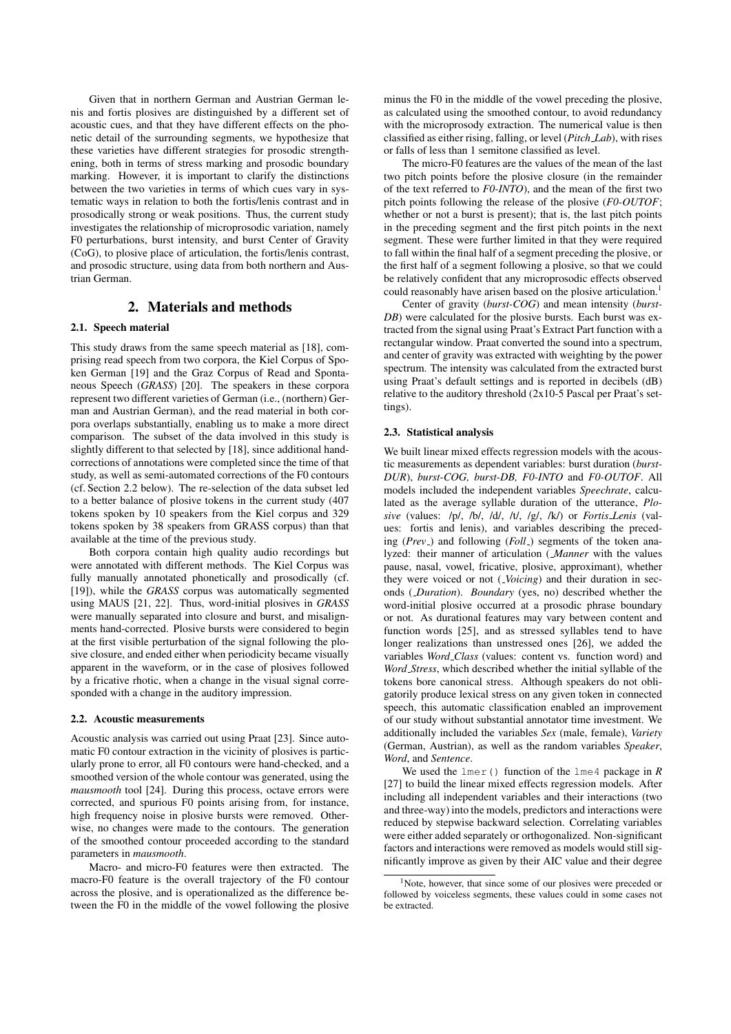Given that in northern German and Austrian German lenis and fortis plosives are distinguished by a different set of acoustic cues, and that they have different effects on the phonetic detail of the surrounding segments, we hypothesize that these varieties have different strategies for prosodic strengthening, both in terms of stress marking and prosodic boundary marking. However, it is important to clarify the distinctions between the two varieties in terms of which cues vary in systematic ways in relation to both the fortis/lenis contrast and in prosodically strong or weak positions. Thus, the current study investigates the relationship of microprosodic variation, namely F0 perturbations, burst intensity, and burst Center of Gravity (CoG), to plosive place of articulation, the fortis/lenis contrast, and prosodic structure, using data from both northern and Austrian German.

# 2. Materials and methods

## 2.1. Speech material

This study draws from the same speech material as [18], comprising read speech from two corpora, the Kiel Corpus of Spoken German [19] and the Graz Corpus of Read and Spontaneous Speech (*GRASS*) [20]. The speakers in these corpora represent two different varieties of German (i.e., (northern) German and Austrian German), and the read material in both corpora overlaps substantially, enabling us to make a more direct comparison. The subset of the data involved in this study is slightly different to that selected by [18], since additional handcorrections of annotations were completed since the time of that study, as well as semi-automated corrections of the F0 contours (cf. Section 2.2 below). The re-selection of the data subset led to a better balance of plosive tokens in the current study (407 tokens spoken by 10 speakers from the Kiel corpus and 329 tokens spoken by 38 speakers from GRASS corpus) than that available at the time of the previous study.

Both corpora contain high quality audio recordings but were annotated with different methods. The Kiel Corpus was fully manually annotated phonetically and prosodically (cf. [19]), while the *GRASS* corpus was automatically segmented using MAUS [21, 22]. Thus, word-initial plosives in *GRASS* were manually separated into closure and burst, and misalignments hand-corrected. Plosive bursts were considered to begin at the first visible perturbation of the signal following the plosive closure, and ended either when periodicity became visually apparent in the waveform, or in the case of plosives followed by a fricative rhotic, when a change in the visual signal corresponded with a change in the auditory impression.

#### 2.2. Acoustic measurements

Acoustic analysis was carried out using Praat [23]. Since automatic F0 contour extraction in the vicinity of plosives is particularly prone to error, all F0 contours were hand-checked, and a smoothed version of the whole contour was generated, using the *mausmooth* tool [24]. During this process, octave errors were corrected, and spurious F0 points arising from, for instance, high frequency noise in plosive bursts were removed. Otherwise, no changes were made to the contours. The generation of the smoothed contour proceeded according to the standard parameters in *mausmooth*.

Macro- and micro-F0 features were then extracted. The macro-F0 feature is the overall trajectory of the F0 contour across the plosive, and is operationalized as the difference between the F0 in the middle of the vowel following the plosive

minus the F0 in the middle of the vowel preceding the plosive, as calculated using the smoothed contour, to avoid redundancy with the microprosody extraction. The numerical value is then classified as either rising, falling, or level (*Pitch Lab*), with rises or falls of less than 1 semitone classified as level.

The micro-F0 features are the values of the mean of the last two pitch points before the plosive closure (in the remainder of the text referred to *F0-INTO*), and the mean of the first two pitch points following the release of the plosive (*F0-OUTOF*; whether or not a burst is present); that is, the last pitch points in the preceding segment and the first pitch points in the next segment. These were further limited in that they were required to fall within the final half of a segment preceding the plosive, or the first half of a segment following a plosive, so that we could be relatively confident that any microprosodic effects observed could reasonably have arisen based on the plosive articulation.<sup>1</sup>

Center of gravity (*burst-COG*) and mean intensity (*burst-DB*) were calculated for the plosive bursts. Each burst was extracted from the signal using Praat's Extract Part function with a rectangular window. Praat converted the sound into a spectrum, and center of gravity was extracted with weighting by the power spectrum. The intensity was calculated from the extracted burst using Praat's default settings and is reported in decibels (dB) relative to the auditory threshold (2x10-5 Pascal per Praat's settings).

#### 2.3. Statistical analysis

We built linear mixed effects regression models with the acoustic measurements as dependent variables: burst duration (*burst-DUR*), *burst-COG, burst-DB, F0-INTO* and *F0-OUTOF*. All models included the independent variables *Speechrate*, calculated as the average syllable duration of the utterance, *Plosive* (values: /p/, /b/, /d/, /t/, /g/, /k/) or *Fortis Lenis* (values: fortis and lenis), and variables describing the preceding (*Prev*<sub>-</sub>) and following (*Foll*<sub>-</sub>) segments of the token analyzed: their manner of articulation ( *Manner* with the values pause, nasal, vowel, fricative, plosive, approximant), whether they were voiced or not (*Voicing*) and their duration in seconds ( *Duration*). *Boundary* (yes, no) described whether the word-initial plosive occurred at a prosodic phrase boundary or not. As durational features may vary between content and function words [25], and as stressed syllables tend to have longer realizations than unstressed ones [26], we added the variables *Word Class* (values: content vs. function word) and *Word Stress*, which described whether the initial syllable of the tokens bore canonical stress. Although speakers do not obligatorily produce lexical stress on any given token in connected speech, this automatic classification enabled an improvement of our study without substantial annotator time investment. We additionally included the variables *Sex* (male, female), *Variety* (German, Austrian), as well as the random variables *Speaker*, *Word*, and *Sentence*.

We used the lmer() function of the lme4 package in *R* [27] to build the linear mixed effects regression models. After including all independent variables and their interactions (two and three-way) into the models, predictors and interactions were reduced by stepwise backward selection. Correlating variables were either added separately or orthogonalized. Non-significant factors and interactions were removed as models would still significantly improve as given by their AIC value and their degree

 $1<sup>1</sup>$ Note, however, that since some of our plosives were preceded or followed by voiceless segments, these values could in some cases not be extracted.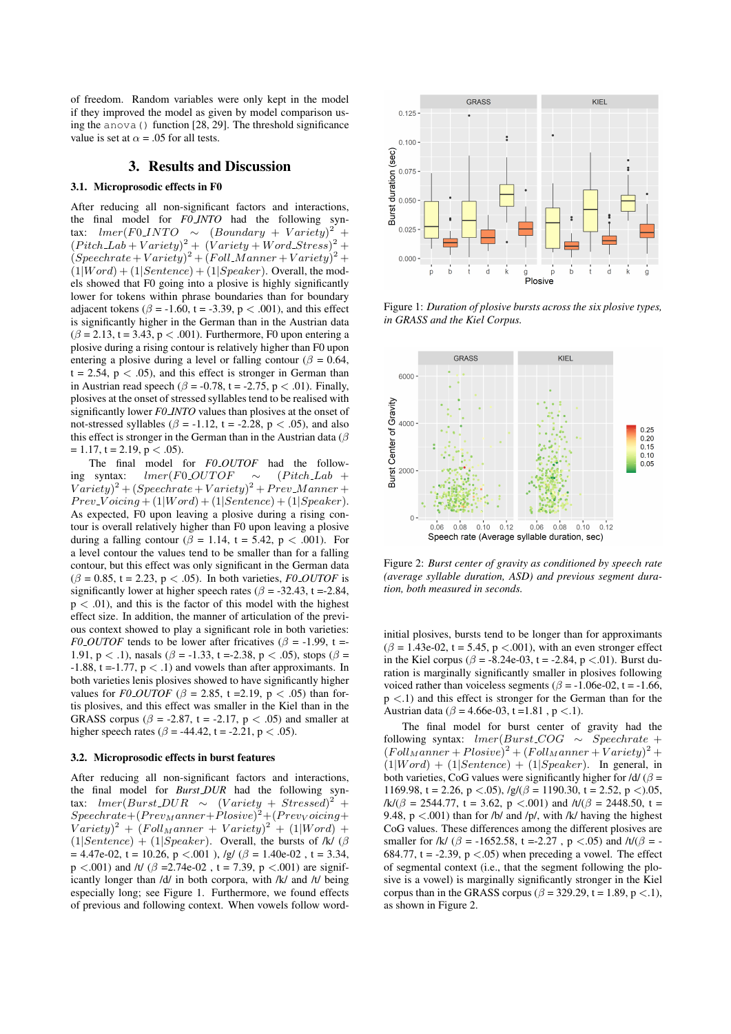of freedom. Random variables were only kept in the model if they improved the model as given by model comparison using the anova() function [28, 29]. The threshold significance value is set at  $\alpha = .05$  for all tests.

## 3. Results and Discussion

#### 3.1. Microprosodic effects in F0

After reducing all non-significant factors and interactions, the final model for *F0 INTO* had the following syntax:  $lmer(F0INTO \sim (Boundary + Variety)^2$  $+$  $(Pitch\_Lab+Variety)^2 + (Variety + Word\_Stress)^2 +$  $(Speech rate + Variety)^2 + (Foll_Manner + Variety)^2 +$  $(1|Word) + (1|Sentence) + (1|Speaker)$ . Overall, the models showed that F0 going into a plosive is highly significantly lower for tokens within phrase boundaries than for boundary adjacent tokens ( $\beta$  = -1.60, t = -3.39, p < .001), and this effect is significantly higher in the German than in the Austrian data  $(\beta = 2.13, t = 3.43, p < .001)$ . Furthermore, F0 upon entering a plosive during a rising contour is relatively higher than F0 upon entering a plosive during a level or falling contour ( $\beta = 0.64$ ,  $t = 2.54$ ,  $p < .05$ ), and this effect is stronger in German than in Austrian read speech ( $\beta$  = -0.78, t = -2.75, p < .01). Finally, plosives at the onset of stressed syllables tend to be realised with significantly lower *F0 INTO* values than plosives at the onset of not-stressed syllables ( $\beta$  = -1.12, t = -2.28, p < .05), and also this effect is stronger in the German than in the Austrian data ( $\beta$  $= 1.17$ , t = 2.19, p < .05).

The final model for *F0 OUTOF* had the following syntax:  $lmer(F0_OUTOF \sim (Pitch\_Lab +$  $Variety)^{2} + (Spechrate + Variety)^{2} + Prev_Manner +$  $Prev\_{Voicing} + (1|Word) + (1|Sentence) + (1|Speaker).$ As expected, F0 upon leaving a plosive during a rising contour is overall relatively higher than F0 upon leaving a plosive during a falling contour ( $\beta = 1.14$ , t = 5.42, p < .001). For a level contour the values tend to be smaller than for a falling contour, but this effect was only significant in the German data  $(\beta = 0.85, t = 2.23, p < .05)$ . In both varieties, *FO\_OUTOF* is significantly lower at higher speech rates ( $\beta$  = -32.43, t = -2.84,  $p < .01$ ), and this is the factor of this model with the highest effect size. In addition, the manner of articulation of the previous context showed to play a significant role in both varieties: *F0 OUTOF* tends to be lower after fricatives ( $\beta$  = -1.99, t = 1.91,  $p < 0.1$ ), nasals ( $\beta = -1.33$ , t = -2.38, p < .05), stops ( $\beta =$  $-1.88$ , t = -1.77,  $p < .1$ ) and vowels than after approximants. In both varieties lenis plosives showed to have significantly higher values for *F0\_OUTOF* ( $\beta$  = 2.85, t = 2.19, p < .05) than fortis plosives, and this effect was smaller in the Kiel than in the GRASS corpus ( $\beta$  = -2.87, t = -2.17, p < .05) and smaller at higher speech rates ( $\beta$  = -44.42, t = -2.21, p < .05).

## 3.2. Microprosodic effects in burst features

After reducing all non-significant factors and interactions, the final model for *Burst DUR* had the following syntax:  $lmer(Burst\_DUR \sim (Variety + Stressed)^2 +$  $Speech rate + (Prev_Manner + Plosive)^2 + (Prevvoicing +$  $Variety$ <sup>2</sup> +  $(FollManager + Variety)$ <sup>2</sup> +  $(1|Word) +$  $(1|Sentence) + (1|Speaker)$ . Overall, the bursts of /k/ ( $\beta$  $= 4.47e-02$ , t = 10.26, p < 001), /g/ ( $\beta = 1.40e-02$ , t = 3.34,  $p < .001$ ) and /t/ ( $\beta = 2.74e-02$ , t = 7.39, p <.001) are significantly longer than /d/ in both corpora, with /k/ and /t/ being especially long; see Figure 1. Furthermore, we found effects of previous and following context. When vowels follow word-



Figure 1: *Duration of plosive bursts across the six plosive types, in GRASS and the Kiel Corpus.*



Figure 2: *Burst center of gravity as conditioned by speech rate (average syllable duration, ASD) and previous segment duration, both measured in seconds.*

initial plosives, bursts tend to be longer than for approximants  $(\beta = 1.43e-02, t = 5.45, p < .001)$ , with an even stronger effect in the Kiel corpus ( $\beta$  = -8.24e-03, t = -2.84, p <.01). Burst duration is marginally significantly smaller in plosives following voiced rather than voiceless segments ( $\beta$  = -1.06e-02, t = -1.66,  $p \lt 1$ ) and this effect is stronger for the German than for the Austrian data ( $\beta$  = 4.66e-03, t = 1.81, p < .1).

The final model for burst center of gravity had the following syntax:  $lmer(Burst\_COG \sim Speechrate +$  $(Foll(Foll) = (Foll) = (Foll) = (Foll) = (Foll)$  $(1|Word) + (1|Sentence) + (1|Speaker)$ . In general, in both varieties, CoG values were significantly higher for  $\frac{d}{d\theta} =$ 1169.98, t = 2.26, p <.05),  $/g/(\beta = 1190.30, t = 2.52, p < .05,$  $/k/(\beta = 2544.77, t = 3.62, p < .001)$  and  $/t/(\beta = 2448.50, t =$ 9.48,  $p < .001$ ) than for /b/ and /p/, with /k/ having the highest CoG values. These differences among the different plosives are smaller for /k/ ( $\beta$  = -1652.58, t =-2.27, p <.05) and /t/( $\beta$  = -684.77, t = -2.39,  $p < .05$ ) when preceding a vowel. The effect of segmental context (i.e., that the segment following the plosive is a vowel) is marginally significantly stronger in the Kiel corpus than in the GRASS corpus ( $\beta$  = 329.29, t = 1.89, p <.1), as shown in Figure 2.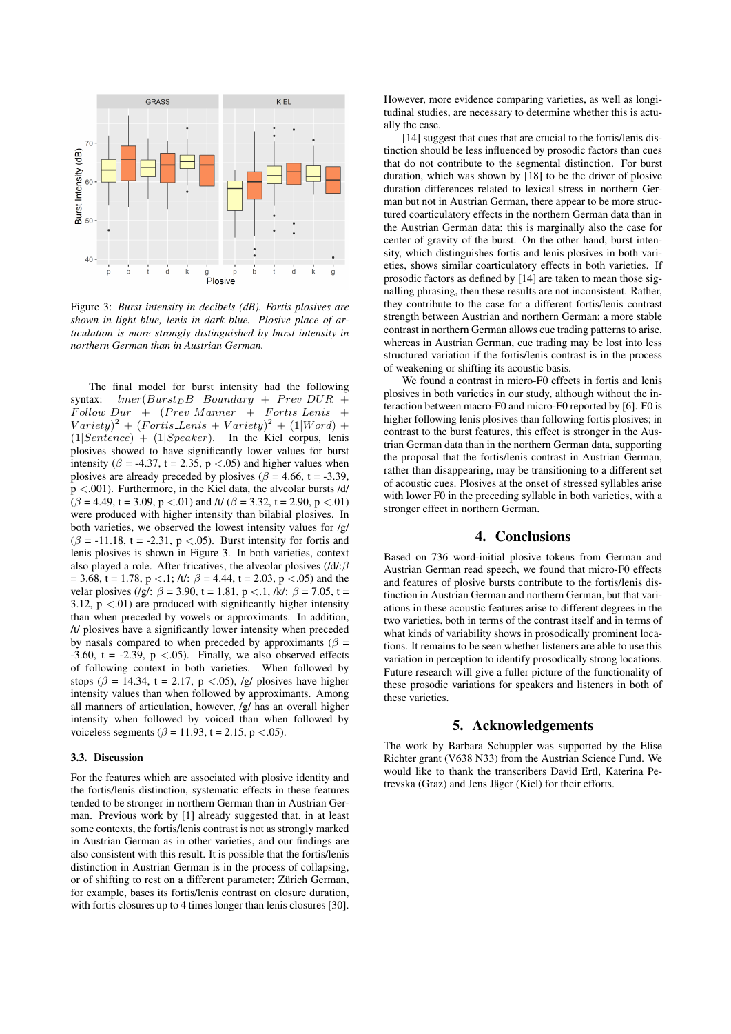

Figure 3: *Burst intensity in decibels (dB). Fortis plosives are shown in light blue, lenis in dark blue. Plosive place of articulation is more strongly distinguished by burst intensity in northern German than in Austrian German.*

The final model for burst intensity had the following<br>syntax:  $lmer(Burst_D B \; Boundary \; + \; Prev_D U R \; +$  $lmer(Burst<sub>D</sub>B$  Boundary + Prev\_DUR +  $Follow_Dur + (prev_Manner + Fortis.Lenis +$  $Variety$ <sup>2</sup> + (Fortis\_Lenis + Variety)<sup>2</sup> + (1|Word) +  $(1|Sentence) + (1|Speaker)$ . In the Kiel corpus, lenis plosives showed to have significantly lower values for burst intensity ( $\beta$  = -4.37, t = 2.35, p <.05) and higher values when plosives are already preceded by plosives ( $\beta$  = 4.66, t = -3.39, p <.001). Furthermore, in the Kiel data, the alveolar bursts /d/  $(\beta = 4.49, t = 3.09, p < .01)$  and /t/  $(\beta = 3.32, t = 2.90, p < .01)$ were produced with higher intensity than bilabial plosives. In both varieties, we observed the lowest intensity values for  $/g/d$  $(\beta = -11.18, t = -2.31, p < .05)$ . Burst intensity for fortis and lenis plosives is shown in Figure 3. In both varieties, context also played a role. After fricatives, the alveolar plosives (/d/: $\beta$  $= 3.68$ , t = 1.78, p <.1; /t/:  $\beta = 4.44$ , t = 2.03, p <.05) and the velar plosives (/g/:  $\beta = 3.90$ , t = 1.81, p <.1, /k/:  $\beta = 7.05$ , t = 3.12,  $p < .01$ ) are produced with significantly higher intensity than when preceded by vowels or approximants. In addition, /t/ plosives have a significantly lower intensity when preceded by nasals compared to when preceded by approximants ( $\beta$  = -3.60, t = -2.39,  $p$  <.05). Finally, we also observed effects of following context in both varieties. When followed by stops ( $\beta$  = 14.34, t = 2.17, p <.05), /g/ plosives have higher intensity values than when followed by approximants. Among all manners of articulation, however, /g/ has an overall higher intensity when followed by voiced than when followed by voiceless segments ( $\beta$  = 11.93, t = 2.15, p <.05).

### 3.3. Discussion

For the features which are associated with plosive identity and the fortis/lenis distinction, systematic effects in these features tended to be stronger in northern German than in Austrian German. Previous work by [1] already suggested that, in at least some contexts, the fortis/lenis contrast is not as strongly marked in Austrian German as in other varieties, and our findings are also consistent with this result. It is possible that the fortis/lenis distinction in Austrian German is in the process of collapsing, or of shifting to rest on a different parameter; Zürich German, for example, bases its fortis/lenis contrast on closure duration, with fortis closures up to 4 times longer than lenis closures [30].

However, more evidence comparing varieties, as well as longitudinal studies, are necessary to determine whether this is actually the case.

[14] suggest that cues that are crucial to the fortis/lenis distinction should be less influenced by prosodic factors than cues that do not contribute to the segmental distinction. For burst duration, which was shown by [18] to be the driver of plosive duration differences related to lexical stress in northern German but not in Austrian German, there appear to be more structured coarticulatory effects in the northern German data than in the Austrian German data; this is marginally also the case for center of gravity of the burst. On the other hand, burst intensity, which distinguishes fortis and lenis plosives in both varieties, shows similar coarticulatory effects in both varieties. If prosodic factors as defined by [14] are taken to mean those signalling phrasing, then these results are not inconsistent. Rather, they contribute to the case for a different fortis/lenis contrast strength between Austrian and northern German; a more stable contrast in northern German allows cue trading patterns to arise, whereas in Austrian German, cue trading may be lost into less structured variation if the fortis/lenis contrast is in the process of weakening or shifting its acoustic basis.

We found a contrast in micro-F0 effects in fortis and lenis plosives in both varieties in our study, although without the interaction between macro-F0 and micro-F0 reported by [6]. F0 is higher following lenis plosives than following fortis plosives; in contrast to the burst features, this effect is stronger in the Austrian German data than in the northern German data, supporting the proposal that the fortis/lenis contrast in Austrian German, rather than disappearing, may be transitioning to a different set of acoustic cues. Plosives at the onset of stressed syllables arise with lower F0 in the preceding syllable in both varieties, with a stronger effect in northern German.

# 4. Conclusions

Based on 736 word-initial plosive tokens from German and Austrian German read speech, we found that micro-F0 effects and features of plosive bursts contribute to the fortis/lenis distinction in Austrian German and northern German, but that variations in these acoustic features arise to different degrees in the two varieties, both in terms of the contrast itself and in terms of what kinds of variability shows in prosodically prominent locations. It remains to be seen whether listeners are able to use this variation in perception to identify prosodically strong locations. Future research will give a fuller picture of the functionality of these prosodic variations for speakers and listeners in both of these varieties.

# 5. Acknowledgements

The work by Barbara Schuppler was supported by the Elise Richter grant (V638 N33) from the Austrian Science Fund. We would like to thank the transcribers David Ertl, Katerina Petrevska (Graz) and Jens Jäger (Kiel) for their efforts.